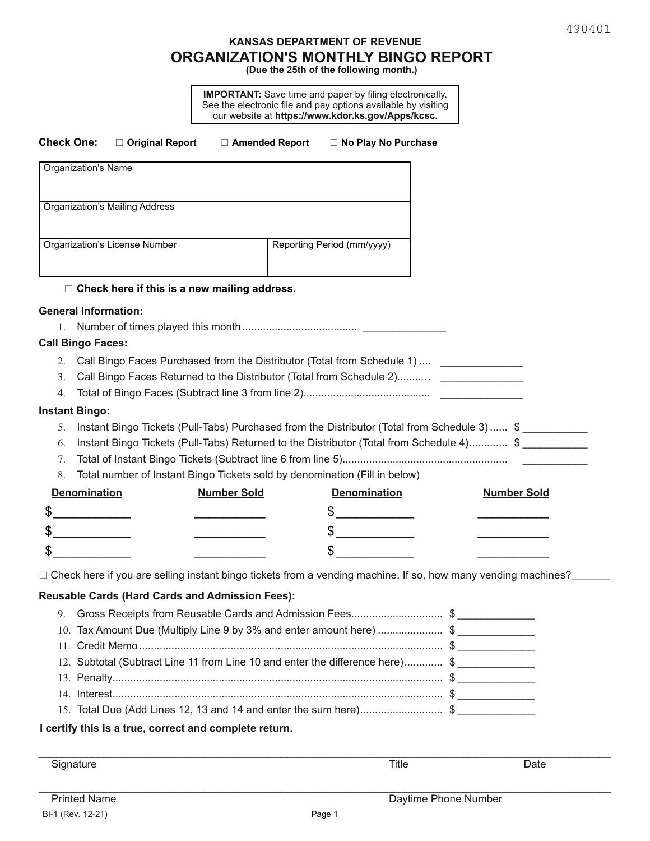# **KANSAS DEPARTMENT OF REVENUE ORGANIZATION'S MONTHLY BINGO REPORT**

**(Due the 25th of the following month.)**

**IMPORTANT:** Save time and paper by filing electronically. See the electronic file and pay options available by visiting our website at **https://www.kdor.ks.gov/Apps/kcsc.**

| <b>Check One:</b><br>□ Original Report                        | □ Amended Report                                                              | □ No Play No Purchase                                                                                                                                                                                                                                                  |  |                    |
|---------------------------------------------------------------|-------------------------------------------------------------------------------|------------------------------------------------------------------------------------------------------------------------------------------------------------------------------------------------------------------------------------------------------------------------|--|--------------------|
| <b>Organization's Name</b>                                    |                                                                               |                                                                                                                                                                                                                                                                        |  |                    |
| <b>Organization's Mailing Address</b>                         |                                                                               |                                                                                                                                                                                                                                                                        |  |                    |
| Organization's License Number                                 |                                                                               | Reporting Period (mm/yyyy)                                                                                                                                                                                                                                             |  |                    |
|                                                               | $\Box$ Check here if this is a new mailing address.                           |                                                                                                                                                                                                                                                                        |  |                    |
| <b>General Information:</b><br>1.<br><b>Call Bingo Faces:</b> |                                                                               |                                                                                                                                                                                                                                                                        |  |                    |
| 3.<br>4.                                                      |                                                                               | 2. Call Bingo Faces Purchased from the Distributor (Total from Schedule 1)  ___________________<br>Call Bingo Faces Returned to the Distributor (Total from Schedule 2)                                                                                                |  |                    |
| 5.<br>6.<br>7.<br>8.                                          |                                                                               | Instant Bingo Tickets (Pull-Tabs) Purchased from the Distributor (Total from Schedule 3)  \$<br>Instant Bingo Tickets (Pull-Tabs) Returned to the Distributor (Total from Schedule 4) \$<br>Total number of Instant Bingo Tickets sold by denomination (Fill in below) |  |                    |
| <b>Denomination</b>                                           | <b>Number Sold</b>                                                            | <b>Denomination</b>                                                                                                                                                                                                                                                    |  | <b>Number Sold</b> |
| <u> 1980 - Jan Stone Barnett, s</u>                           |                                                                               | $\frac{1}{2}$                                                                                                                                                                                                                                                          |  |                    |
|                                                               |                                                                               | $\frac{1}{2}$                                                                                                                                                                                                                                                          |  |                    |
|                                                               |                                                                               | \$                                                                                                                                                                                                                                                                     |  |                    |
|                                                               |                                                                               | $\Box$ Check here if you are selling instant bingo tickets from a vending machine. If so, how many vending machines?                                                                                                                                                   |  |                    |
| <b>Reusable Cards (Hard Cards and Admission Fees):</b>        |                                                                               |                                                                                                                                                                                                                                                                        |  |                    |
| 9.                                                            | Gross Receipts from Reusable Cards and Admission Fees\$                       |                                                                                                                                                                                                                                                                        |  |                    |
| 11.                                                           | 10. Tax Amount Due (Multiply Line 9 by 3% and enter amount here) \$           |                                                                                                                                                                                                                                                                        |  |                    |
|                                                               | 12. Subtotal (Subtract Line 11 from Line 10 and enter the difference here) \$ |                                                                                                                                                                                                                                                                        |  |                    |
|                                                               |                                                                               |                                                                                                                                                                                                                                                                        |  |                    |
|                                                               |                                                                               |                                                                                                                                                                                                                                                                        |  |                    |
|                                                               |                                                                               | 15. Total Due (Add Lines 12, 13 and 14 and enter the sum here)\$                                                                                                                                                                                                       |  |                    |
| I certify this is a true, correct and complete return.        |                                                                               |                                                                                                                                                                                                                                                                        |  |                    |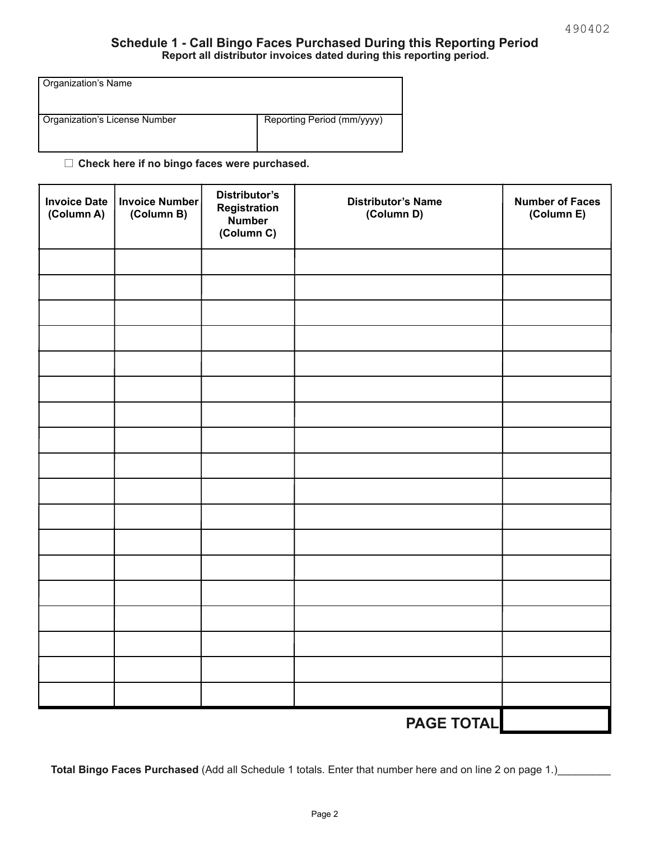#### **Schedule 1 - Call Bingo Faces Purchased During this Reporting Period Report all distributor invoices dated during this reporting period.**

| Organization's Name           |                            |
|-------------------------------|----------------------------|
| Organization's License Number | Reporting Period (mm/yyyy) |

□ Check here if no bingo faces were purchased.

| <b>Invoice Date</b><br>(Column A) | <b>Invoice Number</b><br>(Column B) | Distributor's<br>Registration<br>Number<br>(Column C) | <b>Distributor's Name</b><br>(Column D) | <b>Number of Faces</b><br>(Column E) |
|-----------------------------------|-------------------------------------|-------------------------------------------------------|-----------------------------------------|--------------------------------------|
|                                   |                                     |                                                       |                                         |                                      |
|                                   |                                     |                                                       |                                         |                                      |
|                                   |                                     |                                                       |                                         |                                      |
|                                   |                                     |                                                       |                                         |                                      |
|                                   |                                     |                                                       |                                         |                                      |
|                                   |                                     |                                                       |                                         |                                      |
|                                   |                                     |                                                       |                                         |                                      |
|                                   |                                     |                                                       |                                         |                                      |
|                                   |                                     |                                                       |                                         |                                      |
|                                   |                                     |                                                       |                                         |                                      |
|                                   |                                     |                                                       |                                         |                                      |
|                                   |                                     |                                                       |                                         |                                      |
|                                   |                                     |                                                       |                                         |                                      |
|                                   |                                     |                                                       |                                         |                                      |
|                                   |                                     |                                                       |                                         |                                      |
|                                   |                                     |                                                       |                                         |                                      |
|                                   |                                     |                                                       |                                         |                                      |
|                                   |                                     |                                                       |                                         |                                      |
|                                   |                                     |                                                       | <b>PAGE TOTAL</b>                       |                                      |

**Total Bingo Faces Purchased** (Add all Schedule 1 totals. Enter that number here and on line 2 on page 1.)\_\_\_\_\_\_\_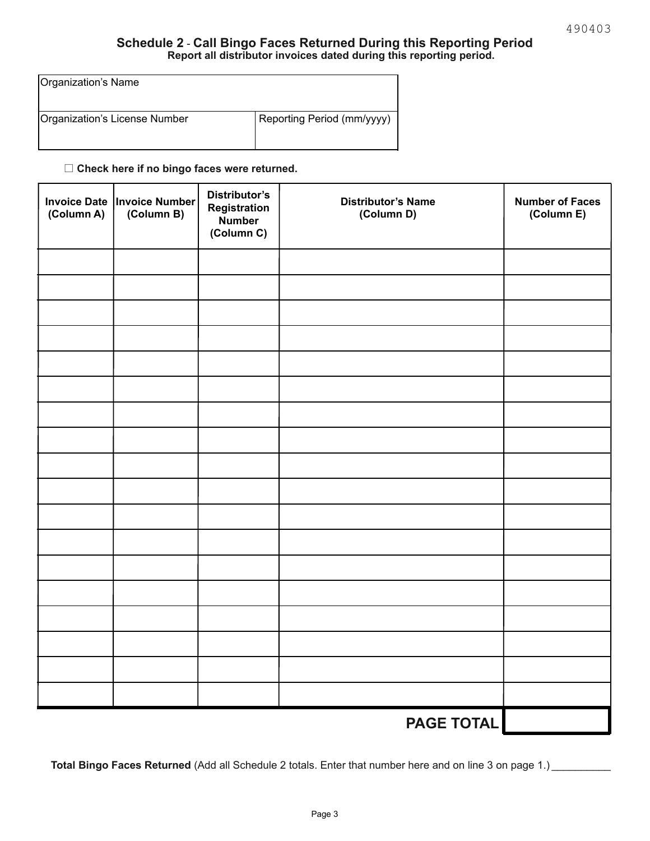#### **Schedule 2** - **Call Bingo Faces Returned During this Reporting Period Report all distributor invoices dated during this reporting period.**

| Organization's Name           |                            |
|-------------------------------|----------------------------|
| Organization's License Number | Reporting Period (mm/yyyy) |

□ Check here if no bingo faces were returned.

| (Column A) | Invoice Date   Invoice Number<br>(Column B) | <b>Distributor's</b><br>Registration<br><b>Number</b><br>(Column C) | <b>Distributor's Name</b><br>(Column D) | <b>Number of Faces</b><br>(Column E) |
|------------|---------------------------------------------|---------------------------------------------------------------------|-----------------------------------------|--------------------------------------|
|            |                                             |                                                                     |                                         |                                      |
|            |                                             |                                                                     |                                         |                                      |
|            |                                             |                                                                     |                                         |                                      |
|            |                                             |                                                                     |                                         |                                      |
|            |                                             |                                                                     |                                         |                                      |
|            |                                             |                                                                     |                                         |                                      |
|            |                                             |                                                                     |                                         |                                      |
|            |                                             |                                                                     |                                         |                                      |
|            |                                             |                                                                     |                                         |                                      |
|            |                                             |                                                                     |                                         |                                      |
|            |                                             |                                                                     |                                         |                                      |
|            |                                             |                                                                     |                                         |                                      |
|            |                                             |                                                                     |                                         |                                      |
|            |                                             |                                                                     |                                         |                                      |
|            |                                             |                                                                     |                                         |                                      |
|            |                                             |                                                                     |                                         |                                      |
|            |                                             |                                                                     |                                         |                                      |
|            |                                             |                                                                     |                                         |                                      |
|            | <b>PAGE TOTAL</b>                           |                                                                     |                                         |                                      |

**Total Bingo Faces Returned** (Add all Schedule 2 totals. Enter that number here and on line 3 on page 1.) \_\_\_\_\_\_\_\_\_\_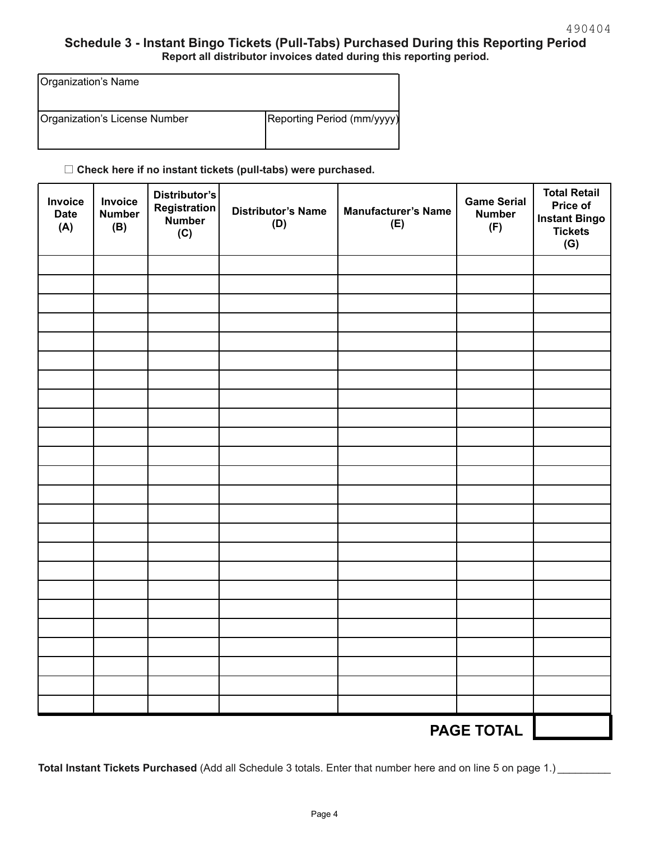### **Schedule 3 - Instant Bingo Tickets (Pull-Tabs) Purchased During this Reporting Period Report all distributor invoices dated during this reporting period.**

| Organization's Name           |                            |
|-------------------------------|----------------------------|
| Organization's License Number | Reporting Period (mm/yyyy) |

□ Check here if no instant tickets (pull-tabs) were purchased.

| Invoice<br><b>Date</b><br>(A) | Invoice<br><b>Number</b><br>(B) | <b>Distributor's</b><br>Registration<br>Number<br>(C) | <b>Distributor's Name</b><br>(D) | <b>Manufacturer's Name</b><br>(E) | <b>Game Serial</b><br><b>Number</b><br>(F) | <b>Total Retail</b><br>Price of<br><b>Instant Bingo</b><br><b>Tickets</b><br>(G) |
|-------------------------------|---------------------------------|-------------------------------------------------------|----------------------------------|-----------------------------------|--------------------------------------------|----------------------------------------------------------------------------------|
|                               |                                 |                                                       |                                  |                                   |                                            |                                                                                  |
|                               |                                 |                                                       |                                  |                                   |                                            |                                                                                  |
|                               |                                 |                                                       |                                  |                                   |                                            |                                                                                  |
|                               |                                 |                                                       |                                  |                                   |                                            |                                                                                  |
|                               |                                 |                                                       |                                  |                                   |                                            |                                                                                  |
|                               |                                 |                                                       |                                  |                                   |                                            |                                                                                  |
|                               |                                 |                                                       |                                  |                                   |                                            |                                                                                  |
|                               |                                 |                                                       |                                  |                                   |                                            |                                                                                  |
|                               |                                 |                                                       |                                  |                                   |                                            |                                                                                  |
|                               |                                 |                                                       |                                  |                                   |                                            |                                                                                  |
|                               |                                 |                                                       |                                  |                                   |                                            |                                                                                  |
|                               |                                 |                                                       |                                  |                                   |                                            |                                                                                  |
|                               |                                 |                                                       |                                  |                                   |                                            |                                                                                  |
|                               |                                 |                                                       |                                  |                                   |                                            |                                                                                  |
|                               |                                 |                                                       |                                  |                                   |                                            |                                                                                  |
|                               |                                 |                                                       |                                  |                                   |                                            |                                                                                  |
|                               |                                 |                                                       |                                  |                                   |                                            |                                                                                  |
|                               |                                 |                                                       |                                  |                                   |                                            |                                                                                  |
|                               |                                 |                                                       |                                  |                                   |                                            |                                                                                  |
|                               |                                 |                                                       |                                  |                                   |                                            |                                                                                  |
|                               |                                 |                                                       |                                  |                                   |                                            |                                                                                  |
|                               |                                 |                                                       |                                  |                                   |                                            |                                                                                  |
|                               |                                 |                                                       |                                  |                                   |                                            |                                                                                  |
|                               |                                 |                                                       |                                  |                                   | <b>PAGE TOTAL</b>                          |                                                                                  |

**Total Instant Tickets Purchased** (Add all Schedule 3 totals. Enter that number here and on line 5 on page 1.) \_\_\_\_\_\_\_\_\_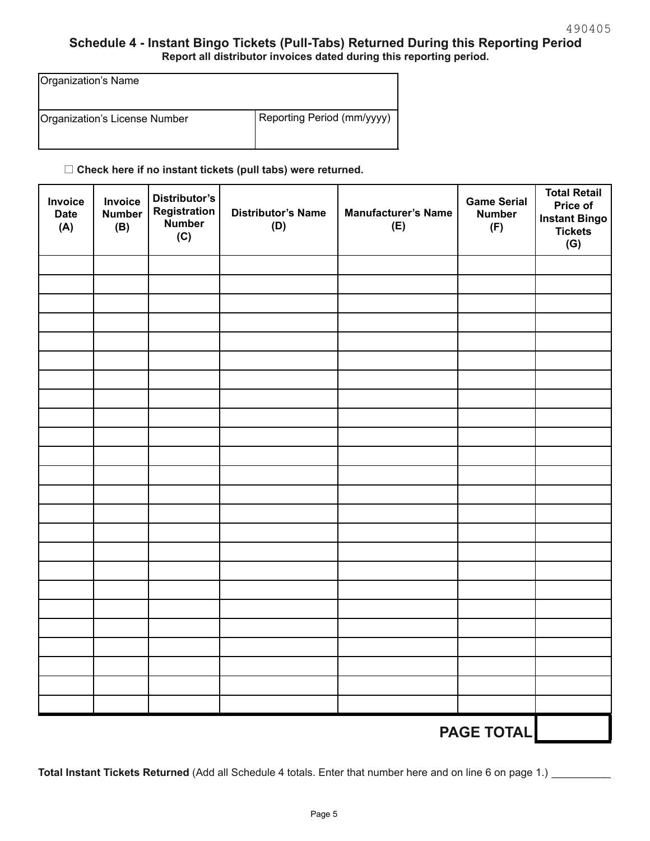## **Schedule 4 - Instant Bingo Tickets (Pull-Tabs) Returned During this Reporting Period Report all distributor invoices dated during this reporting period.**

| Organization's Name           |                            |
|-------------------------------|----------------------------|
| Organization's License Number | Reporting Period (mm/yyyy) |

# □ Check here if no instant tickets (pull tabs) were returned.

| Invoice<br><b>Date</b><br>(A) | Invoice<br><b>Number</b><br>(B) | <b>Distributor's</b><br>Registration<br>Number<br>(C) | <b>Distributor's Name</b><br>(D) | <b>Manufacturer's Name</b><br>(E) | <b>Game Serial</b><br><b>Number</b><br>(F) | <b>Total Retail</b><br>Price of<br><b>Instant Bingo</b><br><b>Tickets</b><br>(G) |
|-------------------------------|---------------------------------|-------------------------------------------------------|----------------------------------|-----------------------------------|--------------------------------------------|----------------------------------------------------------------------------------|
|                               |                                 |                                                       |                                  |                                   |                                            |                                                                                  |
|                               |                                 |                                                       |                                  |                                   |                                            |                                                                                  |
|                               |                                 |                                                       |                                  |                                   |                                            |                                                                                  |
|                               |                                 |                                                       |                                  |                                   |                                            |                                                                                  |
|                               |                                 |                                                       |                                  |                                   |                                            |                                                                                  |
|                               |                                 |                                                       |                                  |                                   |                                            |                                                                                  |
|                               |                                 |                                                       |                                  |                                   |                                            |                                                                                  |
|                               |                                 |                                                       |                                  |                                   |                                            |                                                                                  |
|                               |                                 |                                                       |                                  |                                   |                                            |                                                                                  |
|                               |                                 |                                                       |                                  |                                   |                                            |                                                                                  |
|                               |                                 |                                                       |                                  |                                   |                                            |                                                                                  |
|                               |                                 |                                                       |                                  |                                   |                                            |                                                                                  |
|                               |                                 |                                                       |                                  |                                   |                                            |                                                                                  |
|                               |                                 |                                                       |                                  |                                   |                                            |                                                                                  |
|                               |                                 |                                                       |                                  |                                   |                                            |                                                                                  |
|                               |                                 |                                                       |                                  |                                   |                                            |                                                                                  |
|                               |                                 |                                                       |                                  |                                   |                                            |                                                                                  |
|                               |                                 |                                                       |                                  |                                   |                                            |                                                                                  |
|                               |                                 |                                                       |                                  |                                   |                                            |                                                                                  |
|                               |                                 |                                                       |                                  |                                   |                                            |                                                                                  |
|                               |                                 |                                                       |                                  |                                   |                                            |                                                                                  |
|                               |                                 |                                                       |                                  |                                   |                                            |                                                                                  |
|                               |                                 |                                                       |                                  |                                   |                                            |                                                                                  |
| <b>PAGE TOTAL</b>             |                                 |                                                       |                                  |                                   |                                            |                                                                                  |

\_\_\_\_\_\_\_\_\_\_ **Total Instant Tickets Returned** (Add all Schedule 4 totals. Enter that number here and on line 6 on page 1.)